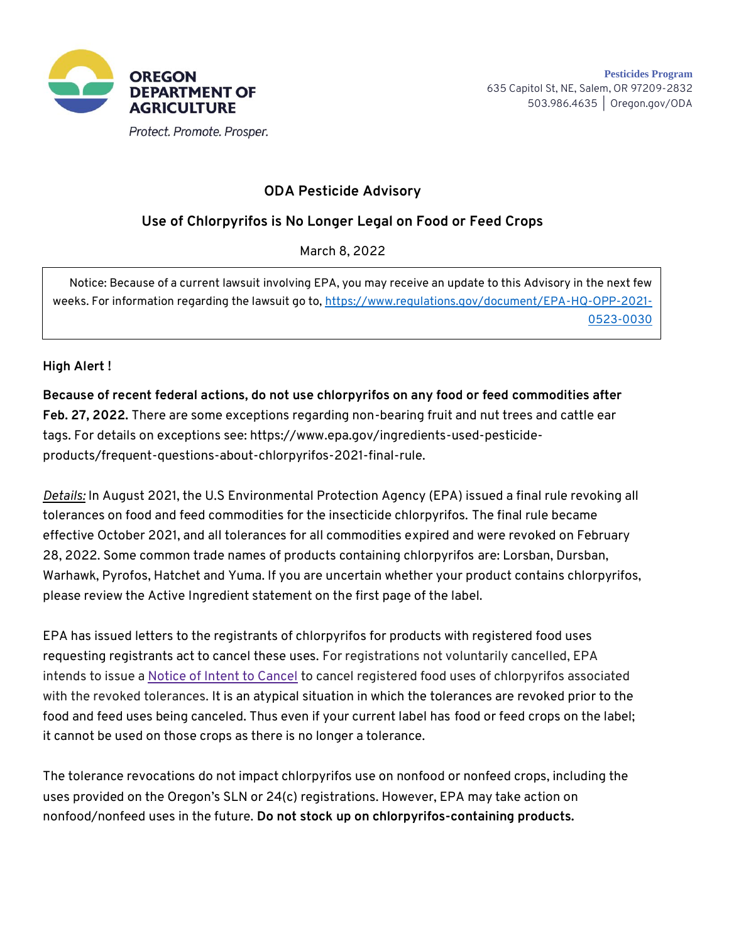

## **ODA Pesticide Advisory**

## **Use of Chlorpyrifos is No Longer Legal on Food or Feed Crops**

March 8, 2022

Notice: Because of a current lawsuit involving EPA, you may receive an update to this Advisory in the next few weeks. For information regarding the lawsuit go to, [https://www.regulations.gov/document/EPA-HQ-OPP-2021-](https://urldefense.com/v3/__https:/www.regulations.gov/document/EPA-HQ-OPP-2021-0523-0030__;!!HYmSToo!PUftmvRGZN7_Q0soNygRcO7c4Ats-2vR53oev2FRoRjwNlekOOmkeINVbczM4NMR5-O_0w$) [0523-0030](https://urldefense.com/v3/__https:/www.regulations.gov/document/EPA-HQ-OPP-2021-0523-0030__;!!HYmSToo!PUftmvRGZN7_Q0soNygRcO7c4Ats-2vR53oev2FRoRjwNlekOOmkeINVbczM4NMR5-O_0w$)

## **High Alert !**

**Because of recent federal actions, do not use chlorpyrifos on any food or feed commodities after Feb. 27, 2022.** There are some exceptions regarding non-bearing fruit and nut trees and cattle ear tags. For details on exceptions see: https://www.epa.gov/ingredients-used-pesticideproducts/frequent-questions-about-chlorpyrifos-2021-final-rule.

*Details:* In August 2021, the U.S Environmental Protection Agency (EPA) issued a final rule revoking all tolerances on food and feed commodities for the insecticide chlorpyrifos. The final rule became effective October 2021, and all tolerances for all commodities expired and were revoked on February 28, 2022. Some common trade names of products containing chlorpyrifos are: Lorsban, Dursban, Warhawk, Pyrofos, Hatchet and Yuma. If you are uncertain whether your product contains chlorpyrifos, please review the Active Ingredient statement on the first page of the label.

EPA has issued letters to the registrants of chlorpyrifos for products with registered food uses requesting registrants act to cancel these uses. For registrations not voluntarily cancelled, EPA intends to issue a [Notice of Intent to Cancel](https://www.epa.gov/pesticide-tolerances/pesticide-cancellation-under-epas-own-initiative#noic) to cancel registered food uses of chlorpyrifos associated with the revoked tolerances. It is an atypical situation in which the tolerances are revoked prior to the food and feed uses being canceled. Thus even if your current label has food or feed crops on the label; it cannot be used on those crops as there is no longer a tolerance.

The tolerance revocations do not impact chlorpyrifos use on nonfood or nonfeed crops, including the uses provided on the Oregon's SLN or 24(c) registrations. However, EPA may take action on nonfood/nonfeed uses in the future. **Do not stock up on chlorpyrifos-containing products.**